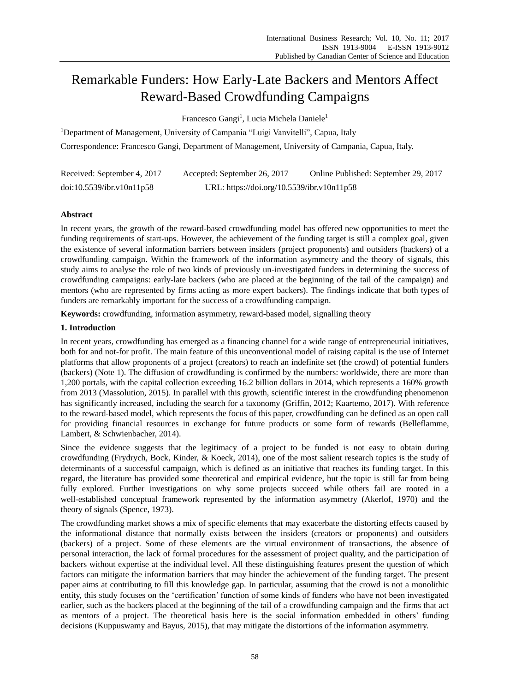# Remarkable Funders: How Early-Late Backers and Mentors Affect Reward-Based Crowdfunding Campaigns

Francesco Gangi<sup>1</sup>, Lucia Michela Daniele<sup>1</sup>

<sup>1</sup>Department of Management, University of Campania "Luigi Vanvitelli", Capua, Italy Correspondence: Francesco Gangi, Department of Management, University of Campania, Capua, Italy.

| Received: September 4, 2017 | Accepted: September 26, 2017               | Online Published: September 29, 2017 |
|-----------------------------|--------------------------------------------|--------------------------------------|
| doi:10.5539/ibr.v10n11p58   | URL: https://doi.org/10.5539/ibr.v10n11p58 |                                      |

# **Abstract**

In recent years, the growth of the reward-based crowdfunding model has offered new opportunities to meet the funding requirements of start-ups. However, the achievement of the funding target is still a complex goal, given the existence of several information barriers between insiders (project proponents) and outsiders (backers) of a crowdfunding campaign. Within the framework of the information asymmetry and the theory of signals, this study aims to analyse the role of two kinds of previously un-investigated funders in determining the success of crowdfunding campaigns: early-late backers (who are placed at the beginning of the tail of the campaign) and mentors (who are represented by firms acting as more expert backers). The findings indicate that both types of funders are remarkably important for the success of a crowdfunding campaign.

**Keywords:** crowdfunding, information asymmetry, reward-based model, signalling theory

# **1. Introduction**

In recent years, crowdfunding has emerged as a financing channel for a wide range of entrepreneurial initiatives, both for and not-for profit. The main feature of this unconventional model of raising capital is the use of Internet platforms that allow proponents of a project (creators) to reach an indefinite set (the crowd) of potential funders (backers) (Note 1). The diffusion of crowdfunding is confirmed by the numbers: worldwide, there are more than 1,200 portals, with the capital collection exceeding 16.2 billion dollars in 2014, which represents a 160% growth from 2013 (Massolution, 2015). In parallel with this growth, scientific interest in the crowdfunding phenomenon has significantly increased, including the search for a taxonomy (Griffin, 2012; Kaartemo, 2017). With reference to the reward-based model, which represents the focus of this paper, crowdfunding can be defined as an open call for providing financial resources in exchange for future products or some form of rewards (Belleflamme, Lambert, & Schwienbacher, 2014).

Since the evidence suggests that the legitimacy of a project to be funded is not easy to obtain during crowdfunding (Frydrych, Bock, Kinder, & Koeck, 2014), one of the most salient research topics is the study of determinants of a successful campaign, which is defined as an initiative that reaches its funding target. In this regard, the literature has provided some theoretical and empirical evidence, but the topic is still far from being fully explored. Further investigations on why some projects succeed while others fail are rooted in a well-established conceptual framework represented by the information asymmetry (Akerlof, 1970) and the theory of signals (Spence, 1973).

The crowdfunding market shows a mix of specific elements that may exacerbate the distorting effects caused by the informational distance that normally exists between the insiders (creators or proponents) and outsiders (backers) of a project. Some of these elements are the virtual environment of transactions, the absence of personal interaction, the lack of formal procedures for the assessment of project quality, and the participation of backers without expertise at the individual level. All these distinguishing features present the question of which factors can mitigate the information barriers that may hinder the achievement of the funding target. The present paper aims at contributing to fill this knowledge gap. In particular, assuming that the crowd is not a monolithic entity, this study focuses on the 'certification' function of some kinds of funders who have not been investigated earlier, such as the backers placed at the beginning of the tail of a crowdfunding campaign and the firms that act as mentors of a project. The theoretical basis here is the social information embedded in others' funding decisions (Kuppuswamy and Bayus, 2015), that may mitigate the distortions of the information asymmetry.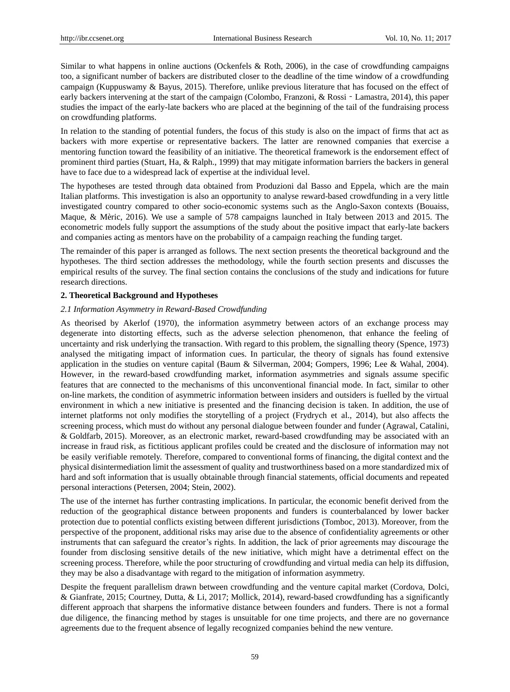Similar to what happens in online auctions (Ockenfels & Roth, 2006), in the case of crowdfunding campaigns too, a significant number of backers are distributed closer to the deadline of the time window of a crowdfunding campaign (Kuppuswamy & Bayus, 2015). Therefore, unlike previous literature that has focused on the effect of early backers intervening at the start of the campaign (Colombo, Franzoni, & Rossi - Lamastra, 2014), this paper studies the impact of the early-late backers who are placed at the beginning of the tail of the fundraising process on crowdfunding platforms.

In relation to the standing of potential funders, the focus of this study is also on the impact of firms that act as backers with more expertise or representative backers. The latter are renowned companies that exercise a mentoring function toward the feasibility of an initiative. The theoretical framework is the endorsement effect of prominent third parties (Stuart, Ha, & Ralph., 1999) that may mitigate information barriers the backers in general have to face due to a widespread lack of expertise at the individual level.

The hypotheses are tested through data obtained from Produzioni dal Basso and Eppela, which are the main Italian platforms. This investigation is also an opportunity to analyse reward-based crowdfunding in a very little investigated country compared to other socio-economic systems such as the Anglo-Saxon contexts (Bouaiss, Maque, & Mèric, 2016). We use a sample of 578 campaigns launched in Italy between 2013 and 2015. The econometric models fully support the assumptions of the study about the positive impact that early-late backers and companies acting as mentors have on the probability of a campaign reaching the funding target.

The remainder of this paper is arranged as follows. The next section presents the theoretical background and the hypotheses. The third section addresses the methodology, while the fourth section presents and discusses the empirical results of the survey. The final section contains the conclusions of the study and indications for future research directions.

# **2. Theoretical Background and Hypotheses**

# *2.1 Information Asymmetry in Reward-Based Crowdfunding*

As theorised by Akerlof (1970), the information asymmetry between actors of an exchange process may degenerate into distorting effects, such as the adverse selection phenomenon, that enhance the feeling of uncertainty and risk underlying the transaction. With regard to this problem, the signalling theory (Spence, 1973) analysed the mitigating impact of information cues. In particular, the theory of signals has found extensive application in the studies on venture capital (Baum & Silverman, 2004; Gompers, 1996; Lee & Wahal, 2004). However, in the reward-based crowdfunding market, information asymmetries and signals assume specific features that are connected to the mechanisms of this unconventional financial mode. In fact, similar to other on-line markets, the condition of asymmetric information between insiders and outsiders is fuelled by the virtual environment in which a new initiative is presented and the financing decision is taken. In addition, the use of internet platforms not only modifies the storytelling of a project (Frydrych et al., 2014), but also affects the screening process, which must do without any personal dialogue between founder and funder (Agrawal, Catalini, & Goldfarb, 2015). Moreover, as an electronic market, reward-based crowdfunding may be associated with an increase in fraud risk, as fictitious applicant profiles could be created and the disclosure of information may not be easily verifiable remotely. Therefore, compared to conventional forms of financing, the digital context and the physical disintermediation limit the assessment of quality and trustworthiness based on a more standardized mix of hard and soft information that is usually obtainable through financial statements, official documents and repeated personal interactions (Petersen, 2004; Stein, 2002).

The use of the internet has further contrasting implications. In particular, the economic benefit derived from the reduction of the geographical distance between proponents and funders is counterbalanced by lower backer protection due to potential conflicts existing between different jurisdictions (Tomboc, 2013). Moreover, from the perspective of the proponent, additional risks may arise due to the absence of confidentiality agreements or other instruments that can safeguard the creator's rights. In addition, the lack of prior agreements may discourage the founder from disclosing sensitive details of the new initiative, which might have a detrimental effect on the screening process. Therefore, while the poor structuring of crowdfunding and virtual media can help its diffusion, they may be also a disadvantage with regard to the mitigation of information asymmetry.

Despite the frequent parallelism drawn between crowdfunding and the venture capital market (Cordova, Dolci, & Gianfrate, 2015; Courtney, Dutta, & Li, 2017; Mollick, 2014), reward-based crowdfunding has a significantly different approach that sharpens the informative distance between founders and funders. There is not a formal due diligence, the financing method by stages is unsuitable for one time projects, and there are no governance agreements due to the frequent absence of legally recognized companies behind the new venture.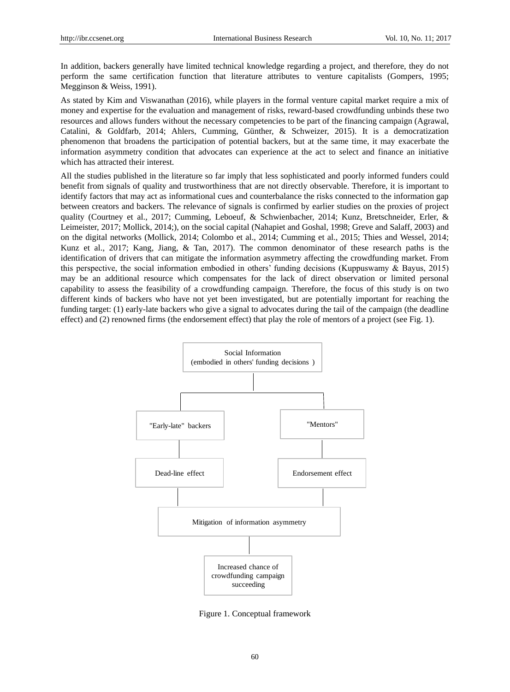In addition, backers generally have limited technical knowledge regarding a project, and therefore, they do not perform the same certification function that literature attributes to venture capitalists (Gompers, 1995; Megginson & Weiss, 1991).

As stated by Kim and Viswanathan (2016), while players in the formal venture capital market require a mix of money and expertise for the evaluation and management of risks, reward-based crowdfunding unbinds these two resources and allows funders without the necessary competencies to be part of the financing campaign (Agrawal, Catalini, & Goldfarb, 2014; Ahlers, Cumming, Günther, & Schweizer, 2015). It is a democratization phenomenon that broadens the participation of potential backers, but at the same time, it may exacerbate the information asymmetry condition that advocates can experience at the act to select and finance an initiative which has attracted their interest.

All the studies published in the literature so far imply that less sophisticated and poorly informed funders could benefit from signals of quality and trustworthiness that are not directly observable. Therefore, it is important to identify factors that may act as informational cues and counterbalance the risks connected to the information gap between creators and backers. The relevance of signals is confirmed by earlier studies on the proxies of project quality (Courtney et al., 2017; Cumming, Leboeuf, & Schwienbacher, 2014; Kunz, Bretschneider, Erler, & Leimeister, 2017; Mollick, 2014;), on the social capital (Nahapiet and Goshal, 1998; Greve and Salaff, 2003) and on the digital networks (Mollick, 2014; Colombo et al., 2014; Cumming et al., 2015; Thies and Wessel, 2014; Kunz et al., 2017; Kang, Jiang, & Tan, 2017). The common denominator of these research paths is the identification of drivers that can mitigate the information asymmetry affecting the crowdfunding market. From this perspective, the social information embodied in others' funding decisions (Kuppuswamy & Bayus, 2015) may be an additional resource which compensates for the lack of direct observation or limited personal capability to assess the feasibility of a crowdfunding campaign. Therefore, the focus of this study is on two different kinds of backers who have not yet been investigated, but are potentially important for reaching the funding target: (1) early-late backers who give a signal to advocates during the tail of the campaign (the deadline effect) and (2) renowned firms (the endorsement effect) that play the role of mentors of a project (see Fig. 1).



Figure 1. Conceptual framework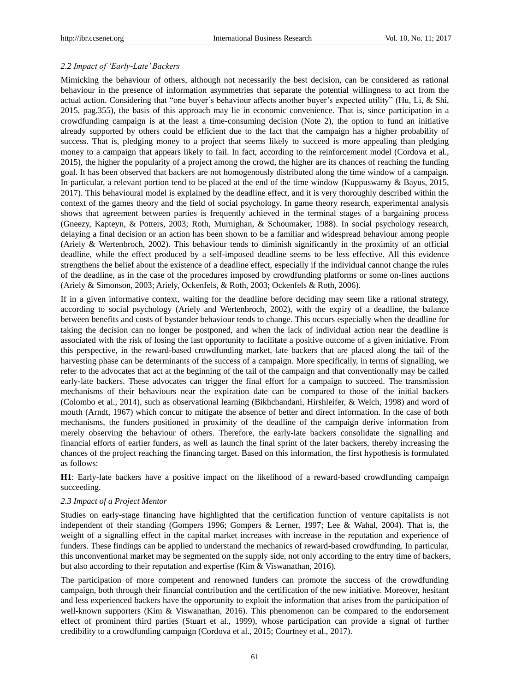# *2.2 Impact of 'Early-Late' Backers*

Mimicking the behaviour of others, although not necessarily the best decision, can be considered as rational behaviour in the presence of information asymmetries that separate the potential willingness to act from the actual action. Considering that "one buyer's behaviour affects another buyer's expected utility" (Hu, Li, & Shi, 2015, pag.355), the basis of this approach may lie in economic convenience. That is, since participation in a crowdfunding campaign is at the least a time-consuming decision (Note 2), the option to fund an initiative already supported by others could be efficient due to the fact that the campaign has a higher probability of success. That is, pledging money to a project that seems likely to succeed is more appealing than pledging money to a campaign that appears likely to fail. In fact, according to the reinforcement model (Cordova et al., 2015), the higher the popularity of a project among the crowd, the higher are its chances of reaching the funding goal. It has been observed that backers are not homogenously distributed along the time window of a campaign. In particular, a relevant portion tend to be placed at the end of the time window (Kuppuswamy & Bayus, 2015, 2017). This behavioural model is explained by the deadline effect, and it is very thoroughly described within the context of the games theory and the field of social psychology. In game theory research, experimental analysis shows that agreement between parties is frequently achieved in the terminal stages of a bargaining process (Gneezy, Kapteyn, & Potters, 2003; Roth, Murnighan, & Schoumaker, 1988). In social psychology research, delaying a final decision or an action has been shown to be a familiar and widespread behaviour among people (Ariely & Wertenbroch, 2002). This behaviour tends to diminish significantly in the proximity of an official deadline, while the effect produced by a self-imposed deadline seems to be less effective. All this evidence strengthens the belief about the existence of a deadline effect, especially if the individual cannot change the rules of the deadline, as in the case of the procedures imposed by crowdfunding platforms or some on-lines auctions (Ariely & Simonson, 2003; Ariely, Ockenfels, & Roth, 2003; Ockenfels & Roth, 2006).

If in a given informative context, waiting for the deadline before deciding may seem like a rational strategy, according to social psychology (Ariely and Wertenbroch, 2002), with the expiry of a deadline, the balance between benefits and costs of bystander behaviour tends to change. This occurs especially when the deadline for taking the decision can no longer be postponed, and when the lack of individual action near the deadline is associated with the risk of losing the last opportunity to facilitate a positive outcome of a given initiative. From this perspective, in the reward-based crowdfunding market, late backers that are placed along the tail of the harvesting phase can be determinants of the success of a campaign. More specifically, in terms of signalling, we refer to the advocates that act at the beginning of the tail of the campaign and that conventionally may be called early-late backers. These advocates can trigger the final effort for a campaign to succeed. The transmission mechanisms of their behaviours near the expiration date can be compared to those of the initial backers (Colombo et al., 2014), such as observational learning (Bikhchandani, Hirshleifer, & Welch, 1998) and word of mouth (Arndt, 1967) which concur to mitigate the absence of better and direct information. In the case of both mechanisms, the funders positioned in proximity of the deadline of the campaign derive information from merely observing the behaviour of others. Therefore, the early-late backers consolidate the signalling and financial efforts of earlier funders, as well as launch the final sprint of the later backers, thereby increasing the chances of the project reaching the financing target. Based on this information, the first hypothesis is formulated as follows:

**H1**: Early-late backers have a positive impact on the likelihood of a reward-based crowdfunding campaign succeeding.

## *2.3 Impact of a Project Mentor*

Studies on early-stage financing have highlighted that the certification function of venture capitalists is not independent of their standing (Gompers 1996; Gompers & Lerner, 1997; Lee & Wahal, 2004). That is, the weight of a signalling effect in the capital market increases with increase in the reputation and experience of funders. These findings can be applied to understand the mechanics of reward-based crowdfunding. In particular, this unconventional market may be segmented on the supply side, not only according to the entry time of backers, but also according to their reputation and expertise (Kim & Viswanathan, 2016).

The participation of more competent and renowned funders can promote the success of the crowdfunding campaign, both through their financial contribution and the certification of the new initiative. Moreover, hesitant and less experienced backers have the opportunity to exploit the information that arises from the participation of well-known supporters (Kim & Viswanathan, 2016). This phenomenon can be compared to the endorsement effect of prominent third parties (Stuart et al., 1999), whose participation can provide a signal of further credibility to a crowdfunding campaign (Cordova et al., 2015; Courtney et al., 2017).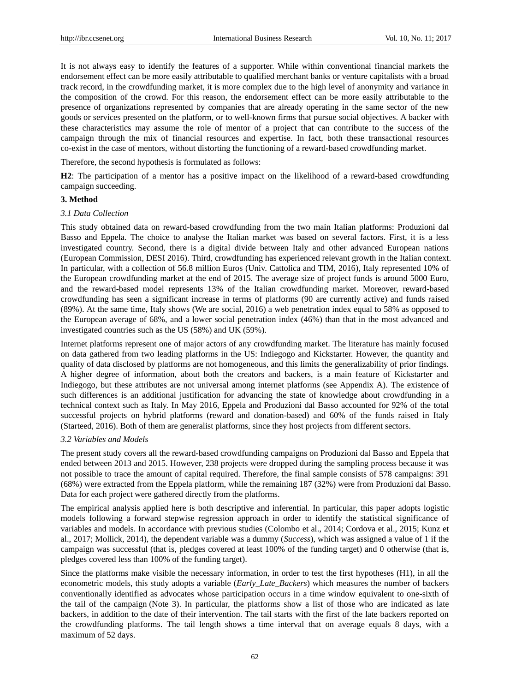It is not always easy to identify the features of a supporter. While within conventional financial markets the endorsement effect can be more easily attributable to qualified merchant banks or venture capitalists with a broad track record, in the crowdfunding market, it is more complex due to the high level of anonymity and variance in the composition of the crowd. For this reason, the endorsement effect can be more easily attributable to the presence of organizations represented by companies that are already operating in the same sector of the new goods or services presented on the platform, or to well-known firms that pursue social objectives. A backer with these characteristics may assume the role of mentor of a project that can contribute to the success of the campaign through the mix of financial resources and expertise. In fact, both these transactional resources co-exist in the case of mentors, without distorting the functioning of a reward-based crowdfunding market.

Therefore, the second hypothesis is formulated as follows:

**H2**: The participation of a mentor has a positive impact on the likelihood of a reward-based crowdfunding campaign succeeding.

## **3. Method**

#### *3.1 Data Collection*

This study obtained data on reward-based crowdfunding from the two main Italian platforms: Produzioni dal Basso and Eppela. The choice to analyse the Italian market was based on several factors. First, it is a less investigated country. Second, there is a digital divide between Italy and other advanced European nations (European Commission, DESI 2016). Third, crowdfunding has experienced relevant growth in the Italian context. In particular, with a collection of 56.8 million Euros (Univ. Cattolica and TIM, 2016), Italy represented 10% of the European crowdfunding market at the end of 2015. The average size of project funds is around 5000 Euro, and the reward-based model represents 13% of the Italian crowdfunding market. Moreover, reward-based crowdfunding has seen a significant increase in terms of platforms (90 are currently active) and funds raised (89%). At the same time, Italy shows (We are social, 2016) a web penetration index equal to 58% as opposed to the European average of 68%, and a lower social penetration index (46%) than that in the most advanced and investigated countries such as the US (58%) and UK (59%).

Internet platforms represent one of major actors of any crowdfunding market. The literature has mainly focused on data gathered from two leading platforms in the US: Indiegogo and Kickstarter. However, the quantity and quality of data disclosed by platforms are not homogeneous, and this limits the generalizability of prior findings. A higher degree of information, about both the creators and backers, is a main feature of Kickstarter and Indiegogo, but these attributes are not universal among internet platforms (see Appendix A). The existence of such differences is an additional justification for advancing the state of knowledge about crowdfunding in a technical context such as Italy. In May 2016, Eppela and Produzioni dal Basso accounted for 92% of the total successful projects on hybrid platforms (reward and donation-based) and 60% of the funds raised in Italy (Starteed, 2016). Both of them are generalist platforms, since they host projects from different sectors.

#### *3.2 Variables and Models*

The present study covers all the reward-based crowdfunding campaigns on Produzioni dal Basso and Eppela that ended between 2013 and 2015. However, 238 projects were dropped during the sampling process because it was not possible to trace the amount of capital required. Therefore, the final sample consists of 578 campaigns: 391 (68%) were extracted from the Eppela platform, while the remaining 187 (32%) were from Produzioni dal Basso. Data for each project were gathered directly from the platforms.

The empirical analysis applied here is both descriptive and inferential. In particular, this paper adopts logistic models following a forward stepwise regression approach in order to identify the statistical significance of variables and models. In accordance with previous studies (Colombo et al., 2014; Cordova et al., 2015; Kunz et al., 2017; Mollick, 2014), the dependent variable was a dummy (*Success*), which was assigned a value of 1 if the campaign was successful (that is, pledges covered at least 100% of the funding target) and 0 otherwise (that is, pledges covered less than 100% of the funding target).

Since the platforms make visible the necessary information, in order to test the first hypotheses (H1), in all the econometric models, this study adopts a variable (*Early\_Late\_Backers*) which measures the number of backers conventionally identified as advocates whose participation occurs in a time window equivalent to one-sixth of the tail of the campaign (Note 3). In particular, the platforms show a list of those who are indicated as late backers, in addition to the date of their intervention. The tail starts with the first of the late backers reported on the crowdfunding platforms. The tail length shows a time interval that on average equals 8 days, with a maximum of 52 days.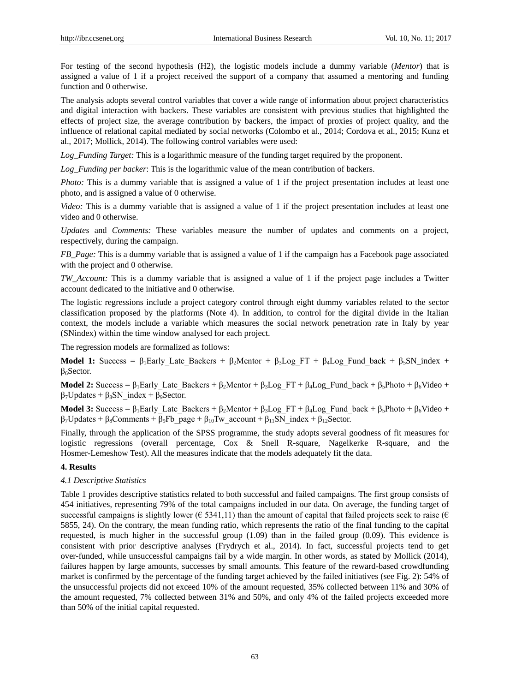For testing of the second hypothesis (H2), the logistic models include a dummy variable (*Mentor*) that is assigned a value of 1 if a project received the support of a company that assumed a mentoring and funding function and 0 otherwise.

The analysis adopts several control variables that cover a wide range of information about project characteristics and digital interaction with backers. These variables are consistent with previous studies that highlighted the effects of project size, the average contribution by backers, the impact of proxies of project quality, and the influence of relational capital mediated by social networks (Colombo et al., 2014; Cordova et al., 2015; Kunz et al., 2017; Mollick, 2014). The following control variables were used:

*Log\_Funding Target:* This is a logarithmic measure of the funding target required by the proponent.

*Log\_Funding per backer*: This is the logarithmic value of the mean contribution of backers.

*Photo:* This is a dummy variable that is assigned a value of 1 if the project presentation includes at least one photo, and is assigned a value of 0 otherwise.

*Video:* This is a dummy variable that is assigned a value of 1 if the project presentation includes at least one video and 0 otherwise.

*Updates* and *Comments:* These variables measure the number of updates and comments on a project, respectively, during the campaign.

*FB\_Page:* This is a dummy variable that is assigned a value of 1 if the campaign has a Facebook page associated with the project and 0 otherwise.

*TW\_Account:* This is a dummy variable that is assigned a value of 1 if the project page includes a Twitter account dedicated to the initiative and 0 otherwise.

The logistic regressions include a project category control through eight dummy variables related to the sector classification proposed by the platforms (Note 4). In addition, to control for the digital divide in the Italian context, the models include a variable which measures the social network penetration rate in Italy by year (SNindex) within the time window analysed for each project.

The regression models are formalized as follows:

**Model 1:** Success =  $\beta_1$ Early Late Backers +  $\beta_2$ Mentor +  $\beta_3$ Log FT +  $\beta_4$ Log Fund back +  $\beta_5$ SN\_index + β6Sector.

**Model 2:** Success =  $\beta_1$ Early Late Backers +  $\beta_2$ Mentor +  $\beta_3$ Log FT +  $\beta_4$ Log\_Fund\_back +  $\beta_5$ Photo +  $\beta_6$ Video +  $β_7$ Updates + β<sub>8</sub>SN index + β<sub>9</sub>Sector.

**Model 3:** Success =  $β_1$ Early\_Late\_Backers +  $β_2$ Mentor +  $β_3$ Log\_FT +  $β_4$ Log\_Fund\_back +  $β_5$ Photo +  $β_6$ Video +  $\beta_7$ Updates + β<sub>8</sub>Comments + β<sub>9</sub>Fb\_page + β<sub>10</sub>Tw\_account + β<sub>11</sub>SN\_index + β<sub>12</sub>Sector.

Finally, through the application of the SPSS programme, the study adopts several goodness of fit measures for logistic regressions (overall percentage, Cox & Snell R-square, Nagelkerke R-square, and the Hosmer-Lemeshow Test). All the measures indicate that the models adequately fit the data.

# **4. Results**

### *4.1 Descriptive Statistics*

Table 1 provides descriptive statistics related to both successful and failed campaigns. The first group consists of 454 initiatives, representing 79% of the total campaigns included in our data. On average, the funding target of successful campaigns is slightly lower ( $\epsilon$  5341,11) than the amount of capital that failed projects seek to raise ( $\epsilon$ 5855, 24). On the contrary, the mean funding ratio, which represents the ratio of the final funding to the capital requested, is much higher in the successful group (1.09) than in the failed group (0.09). This evidence is consistent with prior descriptive analyses (Frydrych et al., 2014). In fact, successful projects tend to get over-funded, while unsuccessful campaigns fail by a wide margin. In other words, as stated by Mollick (2014), failures happen by large amounts, successes by small amounts. This feature of the reward-based crowdfunding market is confirmed by the percentage of the funding target achieved by the failed initiatives (see Fig. 2): 54% of the unsuccessful projects did not exceed 10% of the amount requested, 35% collected between 11% and 30% of the amount requested, 7% collected between 31% and 50%, and only 4% of the failed projects exceeded more than 50% of the initial capital requested.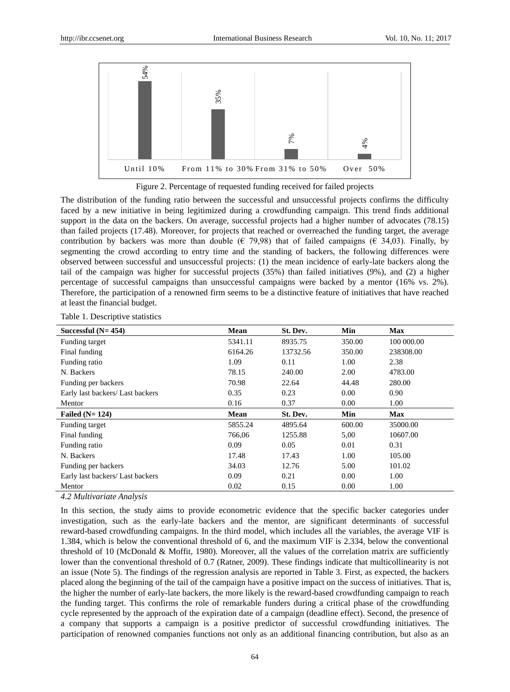

Figure 2. Percentage of requested funding received for failed projects

|                                                                                                                                                                                                                                                                                                                                                                                                                                                                                                                                                                                                                                                                                                                                                                                                                                                                                                                                                                                                                                                                                                                                                                                                             | 54%                                                                                                                                                                                                                                                                                                                                                                                                                                                                                                                                                                                                                                                                                                                                                                                                                                                                                                                                                                                                                                                                                                                                                                                                                                                                                                                                                                                                                                                                                                                                                            | 35%                                                                    | 7%                  | 4%       |                   |
|-------------------------------------------------------------------------------------------------------------------------------------------------------------------------------------------------------------------------------------------------------------------------------------------------------------------------------------------------------------------------------------------------------------------------------------------------------------------------------------------------------------------------------------------------------------------------------------------------------------------------------------------------------------------------------------------------------------------------------------------------------------------------------------------------------------------------------------------------------------------------------------------------------------------------------------------------------------------------------------------------------------------------------------------------------------------------------------------------------------------------------------------------------------------------------------------------------------|----------------------------------------------------------------------------------------------------------------------------------------------------------------------------------------------------------------------------------------------------------------------------------------------------------------------------------------------------------------------------------------------------------------------------------------------------------------------------------------------------------------------------------------------------------------------------------------------------------------------------------------------------------------------------------------------------------------------------------------------------------------------------------------------------------------------------------------------------------------------------------------------------------------------------------------------------------------------------------------------------------------------------------------------------------------------------------------------------------------------------------------------------------------------------------------------------------------------------------------------------------------------------------------------------------------------------------------------------------------------------------------------------------------------------------------------------------------------------------------------------------------------------------------------------------------|------------------------------------------------------------------------|---------------------|----------|-------------------|
|                                                                                                                                                                                                                                                                                                                                                                                                                                                                                                                                                                                                                                                                                                                                                                                                                                                                                                                                                                                                                                                                                                                                                                                                             |                                                                                                                                                                                                                                                                                                                                                                                                                                                                                                                                                                                                                                                                                                                                                                                                                                                                                                                                                                                                                                                                                                                                                                                                                                                                                                                                                                                                                                                                                                                                                                |                                                                        |                     |          |                   |
|                                                                                                                                                                                                                                                                                                                                                                                                                                                                                                                                                                                                                                                                                                                                                                                                                                                                                                                                                                                                                                                                                                                                                                                                             | Until 10%                                                                                                                                                                                                                                                                                                                                                                                                                                                                                                                                                                                                                                                                                                                                                                                                                                                                                                                                                                                                                                                                                                                                                                                                                                                                                                                                                                                                                                                                                                                                                      | From 11% to 30% From 31% to 50%                                        |                     | Over 50% |                   |
|                                                                                                                                                                                                                                                                                                                                                                                                                                                                                                                                                                                                                                                                                                                                                                                                                                                                                                                                                                                                                                                                                                                                                                                                             |                                                                                                                                                                                                                                                                                                                                                                                                                                                                                                                                                                                                                                                                                                                                                                                                                                                                                                                                                                                                                                                                                                                                                                                                                                                                                                                                                                                                                                                                                                                                                                | Figure 2. Percentage of requested funding received for failed projects |                     |          |                   |
| The distribution of the funding ratio between the successful and unsuccessful projects confirms the difficulty<br>faced by a new initiative in being legitimized during a crowdfunding campaign. This trend finds additional<br>support in the data on the backers. On average, successful projects had a higher number of advocates (78.15)<br>than failed projects (17.48). Moreover, for projects that reached or overreached the funding target, the average<br>contribution by backers was more than double ( $\epsilon$ 79,98) that of failed campaigns ( $\epsilon$ 34,03). Finally, by<br>segmenting the crowd according to entry time and the standing of backers, the following differences were<br>observed between successful and unsuccessful projects: (1) the mean incidence of early-late backers along the<br>tail of the campaign was higher for successful projects (35%) than failed initiatives (9%), and (2) a higher<br>percentage of successful campaigns than unsuccessful campaigns were backed by a mentor (16% vs. 2%).<br>Therefore, the participation of a renowned firm seems to be a distinctive feature of initiatives that have reached<br>at least the financial budget. |                                                                                                                                                                                                                                                                                                                                                                                                                                                                                                                                                                                                                                                                                                                                                                                                                                                                                                                                                                                                                                                                                                                                                                                                                                                                                                                                                                                                                                                                                                                                                                |                                                                        |                     |          |                   |
|                                                                                                                                                                                                                                                                                                                                                                                                                                                                                                                                                                                                                                                                                                                                                                                                                                                                                                                                                                                                                                                                                                                                                                                                             | Table 1. Descriptive statistics                                                                                                                                                                                                                                                                                                                                                                                                                                                                                                                                                                                                                                                                                                                                                                                                                                                                                                                                                                                                                                                                                                                                                                                                                                                                                                                                                                                                                                                                                                                                |                                                                        |                     | Min      |                   |
| Successful $(N=454)$<br>Funding target                                                                                                                                                                                                                                                                                                                                                                                                                                                                                                                                                                                                                                                                                                                                                                                                                                                                                                                                                                                                                                                                                                                                                                      |                                                                                                                                                                                                                                                                                                                                                                                                                                                                                                                                                                                                                                                                                                                                                                                                                                                                                                                                                                                                                                                                                                                                                                                                                                                                                                                                                                                                                                                                                                                                                                | Mean<br>5341.11                                                        | St. Dev.<br>8935.75 | 350.00   | Max<br>100 000.00 |
| Final funding                                                                                                                                                                                                                                                                                                                                                                                                                                                                                                                                                                                                                                                                                                                                                                                                                                                                                                                                                                                                                                                                                                                                                                                               |                                                                                                                                                                                                                                                                                                                                                                                                                                                                                                                                                                                                                                                                                                                                                                                                                                                                                                                                                                                                                                                                                                                                                                                                                                                                                                                                                                                                                                                                                                                                                                | 6164.26                                                                | 13732.56            | 350.00   | 238308.00         |
| Funding ratio                                                                                                                                                                                                                                                                                                                                                                                                                                                                                                                                                                                                                                                                                                                                                                                                                                                                                                                                                                                                                                                                                                                                                                                               |                                                                                                                                                                                                                                                                                                                                                                                                                                                                                                                                                                                                                                                                                                                                                                                                                                                                                                                                                                                                                                                                                                                                                                                                                                                                                                                                                                                                                                                                                                                                                                | 1.09                                                                   | 0.11                | 1.00     | 2.38              |
| N. Backers                                                                                                                                                                                                                                                                                                                                                                                                                                                                                                                                                                                                                                                                                                                                                                                                                                                                                                                                                                                                                                                                                                                                                                                                  |                                                                                                                                                                                                                                                                                                                                                                                                                                                                                                                                                                                                                                                                                                                                                                                                                                                                                                                                                                                                                                                                                                                                                                                                                                                                                                                                                                                                                                                                                                                                                                | 78.15                                                                  | 240.00              | 2.00     | 4783.00           |
| Funding per backers                                                                                                                                                                                                                                                                                                                                                                                                                                                                                                                                                                                                                                                                                                                                                                                                                                                                                                                                                                                                                                                                                                                                                                                         |                                                                                                                                                                                                                                                                                                                                                                                                                                                                                                                                                                                                                                                                                                                                                                                                                                                                                                                                                                                                                                                                                                                                                                                                                                                                                                                                                                                                                                                                                                                                                                | 70.98                                                                  | 22.64               | 44.48    | 280.00            |
|                                                                                                                                                                                                                                                                                                                                                                                                                                                                                                                                                                                                                                                                                                                                                                                                                                                                                                                                                                                                                                                                                                                                                                                                             | Early last backers/ Last backers                                                                                                                                                                                                                                                                                                                                                                                                                                                                                                                                                                                                                                                                                                                                                                                                                                                                                                                                                                                                                                                                                                                                                                                                                                                                                                                                                                                                                                                                                                                               | 0.35                                                                   | 0.23                | 0.00     | 0.90              |
| Mentor                                                                                                                                                                                                                                                                                                                                                                                                                                                                                                                                                                                                                                                                                                                                                                                                                                                                                                                                                                                                                                                                                                                                                                                                      |                                                                                                                                                                                                                                                                                                                                                                                                                                                                                                                                                                                                                                                                                                                                                                                                                                                                                                                                                                                                                                                                                                                                                                                                                                                                                                                                                                                                                                                                                                                                                                | 0.16                                                                   | 0.37                | 0.00     | 1.00              |
| Failed $(N=124)$                                                                                                                                                                                                                                                                                                                                                                                                                                                                                                                                                                                                                                                                                                                                                                                                                                                                                                                                                                                                                                                                                                                                                                                            |                                                                                                                                                                                                                                                                                                                                                                                                                                                                                                                                                                                                                                                                                                                                                                                                                                                                                                                                                                                                                                                                                                                                                                                                                                                                                                                                                                                                                                                                                                                                                                | Mean                                                                   | St. Dev.            | Min      | <b>Max</b>        |
| Funding target                                                                                                                                                                                                                                                                                                                                                                                                                                                                                                                                                                                                                                                                                                                                                                                                                                                                                                                                                                                                                                                                                                                                                                                              |                                                                                                                                                                                                                                                                                                                                                                                                                                                                                                                                                                                                                                                                                                                                                                                                                                                                                                                                                                                                                                                                                                                                                                                                                                                                                                                                                                                                                                                                                                                                                                | 5855.24                                                                | 4895.64             | 600.00   | 35000.00          |
| Final funding                                                                                                                                                                                                                                                                                                                                                                                                                                                                                                                                                                                                                                                                                                                                                                                                                                                                                                                                                                                                                                                                                                                                                                                               |                                                                                                                                                                                                                                                                                                                                                                                                                                                                                                                                                                                                                                                                                                                                                                                                                                                                                                                                                                                                                                                                                                                                                                                                                                                                                                                                                                                                                                                                                                                                                                | 766,06                                                                 | 1255.88             | 5,00     | 10607.00          |
| Funding ratio                                                                                                                                                                                                                                                                                                                                                                                                                                                                                                                                                                                                                                                                                                                                                                                                                                                                                                                                                                                                                                                                                                                                                                                               |                                                                                                                                                                                                                                                                                                                                                                                                                                                                                                                                                                                                                                                                                                                                                                                                                                                                                                                                                                                                                                                                                                                                                                                                                                                                                                                                                                                                                                                                                                                                                                | 0.09                                                                   | 0.05                | 0.01     | 0.31              |
| N. Backers                                                                                                                                                                                                                                                                                                                                                                                                                                                                                                                                                                                                                                                                                                                                                                                                                                                                                                                                                                                                                                                                                                                                                                                                  |                                                                                                                                                                                                                                                                                                                                                                                                                                                                                                                                                                                                                                                                                                                                                                                                                                                                                                                                                                                                                                                                                                                                                                                                                                                                                                                                                                                                                                                                                                                                                                | 17.48                                                                  | 17.43               | 1.00     | 105.00            |
| Funding per backers                                                                                                                                                                                                                                                                                                                                                                                                                                                                                                                                                                                                                                                                                                                                                                                                                                                                                                                                                                                                                                                                                                                                                                                         |                                                                                                                                                                                                                                                                                                                                                                                                                                                                                                                                                                                                                                                                                                                                                                                                                                                                                                                                                                                                                                                                                                                                                                                                                                                                                                                                                                                                                                                                                                                                                                | 34.03                                                                  | 12.76               | 5.00     | 101.02            |
|                                                                                                                                                                                                                                                                                                                                                                                                                                                                                                                                                                                                                                                                                                                                                                                                                                                                                                                                                                                                                                                                                                                                                                                                             | Early last backers/ Last backers                                                                                                                                                                                                                                                                                                                                                                                                                                                                                                                                                                                                                                                                                                                                                                                                                                                                                                                                                                                                                                                                                                                                                                                                                                                                                                                                                                                                                                                                                                                               | 0.09                                                                   | 0.21                | $0.00\,$ | 1.00              |
| Mentor                                                                                                                                                                                                                                                                                                                                                                                                                                                                                                                                                                                                                                                                                                                                                                                                                                                                                                                                                                                                                                                                                                                                                                                                      |                                                                                                                                                                                                                                                                                                                                                                                                                                                                                                                                                                                                                                                                                                                                                                                                                                                                                                                                                                                                                                                                                                                                                                                                                                                                                                                                                                                                                                                                                                                                                                | 0.02                                                                   | 0.15                | 0.00     | 1.00              |
|                                                                                                                                                                                                                                                                                                                                                                                                                                                                                                                                                                                                                                                                                                                                                                                                                                                                                                                                                                                                                                                                                                                                                                                                             | 4.2 Multivariate Analysis<br>In this section, the study aims to provide econometric evidence that the specific backer categories under<br>investigation, such as the early-late backers and the mentor, are significant determinants of successful<br>reward-based crowdfunding campaigns. In the third model, which includes all the variables, the average VIF is<br>1.384, which is below the conventional threshold of 6, and the maximum VIF is 2.334, below the conventional<br>threshold of 10 (McDonald & Moffit, 1980). Moreover, all the values of the correlation matrix are sufficiently<br>lower than the conventional threshold of 0.7 (Ratner, 2009). These findings indicate that multicollinearity is not<br>an issue (Note 5). The findings of the regression analysis are reported in Table 3. First, as expected, the backers<br>placed along the beginning of the tail of the campaign have a positive impact on the success of initiatives. That is,<br>the higher the number of early-late backers, the more likely is the reward-based crowdfunding campaign to reach<br>the funding target. This confirms the role of remarkable funders during a critical phase of the crowdfunding<br>cycle represented by the approach of the expiration date of a campaign (deadline effect). Second, the presence of<br>a company that supports a campaign is a positive predictor of successful crowdfunding initiatives. The<br>participation of renowned companies functions not only as an additional financing contribution, but also as an |                                                                        |                     |          |                   |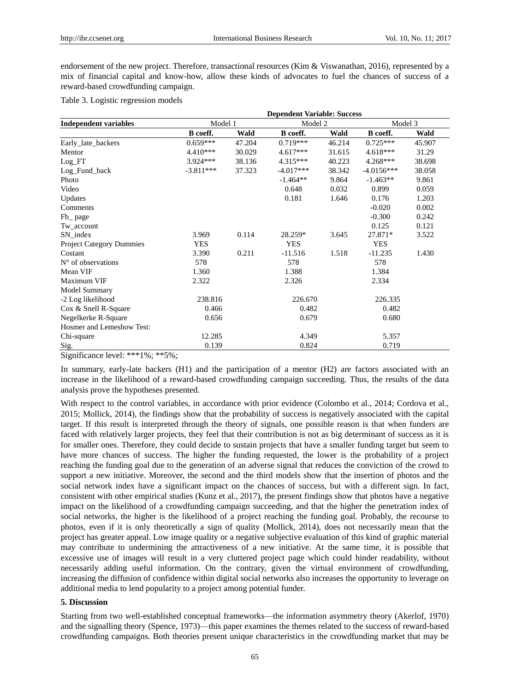endorsement of the new project. Therefore, transactional resources (Kim & Viswanathan, 2016), represented by a mix of financial capital and know-how, allow these kinds of advocates to fuel the chances of success of a reward-based crowdfunding campaign.

Table 3. Logistic regression models

|                                 | <b>Dependent Variable: Success</b> |        |                 |        |                 |        |
|---------------------------------|------------------------------------|--------|-----------------|--------|-----------------|--------|
| <b>Independent variables</b>    | Model 1                            |        | Model 2         |        | Model 3         |        |
|                                 | <b>B</b> coeff.                    | Wald   | <b>B</b> coeff. | Wald   | <b>B</b> coeff. | Wald   |
| Early_late_backers              | $0.659***$                         | 47.204 | $0.719***$      | 46.214 | $0.725***$      | 45.907 |
| Mentor                          | $4.410***$                         | 30.029 | $4.617***$      | 31.615 | $4.618***$      | 31.29  |
| $Log_F T$                       | $3.924***$                         | 38.136 | $4.315***$      | 40.223 | $4.268***$      | 38.698 |
| Log Fund back                   | $-3.811***$                        | 37.323 | $-4.017***$     | 38.342 | $-4.0156***$    | 38.058 |
| Photo                           |                                    |        | $-1.464**$      | 9.864  | $-1.463**$      | 9.861  |
| Video                           |                                    |        | 0.648           | 0.032  | 0.899           | 0.059  |
| Updates                         |                                    |        | 0.181           | 1.646  | 0.176           | 1.203  |
| Comments                        |                                    |        |                 |        | $-0.020$        | 0.002  |
| $Fb$ page                       |                                    |        |                 |        | $-0.300$        | 0.242  |
| Tw_account                      |                                    |        |                 |        | 0.125           | 0.121  |
| SN index                        | 3.969                              | 0.114  | 28.259*         | 3.645  | 27.871*         | 3.522  |
| <b>Project Category Dummies</b> | <b>YES</b>                         |        | <b>YES</b>      |        | <b>YES</b>      |        |
| Costant                         | 3.390                              | 0.211  | $-11.516$       | 1.518  | $-11.235$       | 1.430  |
| $N^{\circ}$ of observations     | 578                                |        | 578             |        | 578             |        |
| Mean VIF                        | 1.360                              |        | 1.388           |        | 1.384           |        |
| Maximum VIF                     | 2.322                              |        | 2.326           |        | 2.334           |        |
| Model Summary                   |                                    |        |                 |        |                 |        |
| -2 Log likelihood               | 238.816                            |        | 226.670         |        | 226.335         |        |
| Cox & Snell R-Square            | 0.466                              |        | 0.482           |        | 0.482           |        |
| Negelkerke R-Square             | 0.656                              |        | 0.679           |        | 0.680           |        |
| Hosmer and Lemeshow Test:       |                                    |        |                 |        |                 |        |
| Chi-square                      | 12.285                             |        | 4.349           |        | 5.357           |        |
| Sig.                            | 0.139                              |        | 0.824           |        | 0.719           |        |

Significance level: \*\*\*1%; \*\*5%;

In summary, early-late backers (H1) and the participation of a mentor (H2) are factors associated with an increase in the likelihood of a reward-based crowdfunding campaign succeeding. Thus, the results of the data analysis prove the hypotheses presented.

With respect to the control variables, in accordance with prior evidence (Colombo et al., 2014; Cordova et al., 2015; Mollick, 2014), the findings show that the probability of success is negatively associated with the capital target. If this result is interpreted through the theory of signals, one possible reason is that when funders are faced with relatively larger projects, they feel that their contribution is not as big determinant of success as it is for smaller ones. Therefore, they could decide to sustain projects that have a smaller funding target but seem to have more chances of success. The higher the funding requested, the lower is the probability of a project reaching the funding goal due to the generation of an adverse signal that reduces the conviction of the crowd to support a new initiative. Moreover, the second and the third models show that the insertion of photos and the social network index have a significant impact on the chances of success, but with a different sign. In fact, consistent with other empirical studies (Kunz et al., 2017), the present findings show that photos have a negative impact on the likelihood of a crowdfunding campaign succeeding, and that the higher the penetration index of social networks, the higher is the likelihood of a project reaching the funding goal. Probably, the recourse to photos, even if it is only theoretically a sign of quality (Mollick, 2014), does not necessarily mean that the project has greater appeal. Low image quality or a negative subjective evaluation of this kind of graphic material may contribute to undermining the attractiveness of a new initiative. At the same time, it is possible that excessive use of images will result in a very cluttered project page which could hinder readability, without necessarily adding useful information. On the contrary, given the virtual environment of crowdfunding, increasing the diffusion of confidence within digital social networks also increases the opportunity to leverage on additional media to lend popularity to a project among potential funder.

#### **5. Discussion**

Starting from two well-established conceptual frameworks—the information asymmetry theory (Akerlof, 1970) and the signalling theory (Spence, 1973)—this paper examines the themes related to the success of reward-based crowdfunding campaigns. Both theories present unique characteristics in the crowdfunding market that may be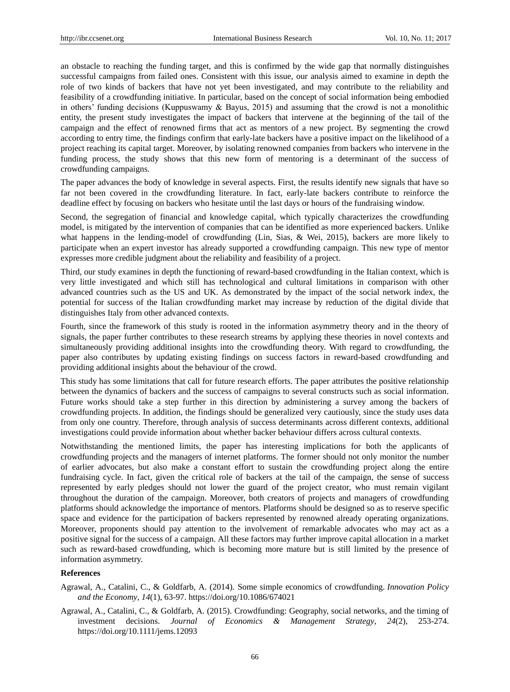an obstacle to reaching the funding target, and this is confirmed by the wide gap that normally distinguishes successful campaigns from failed ones. Consistent with this issue, our analysis aimed to examine in depth the role of two kinds of backers that have not yet been investigated, and may contribute to the reliability and feasibility of a crowdfunding initiative. In particular, based on the concept of social information being embodied in others' funding decisions (Kuppuswamy  $\&$  Bayus, 2015) and assuming that the crowd is not a monolithic entity, the present study investigates the impact of backers that intervene at the beginning of the tail of the campaign and the effect of renowned firms that act as mentors of a new project. By segmenting the crowd according to entry time, the findings confirm that early-late backers have a positive impact on the likelihood of a project reaching its capital target. Moreover, by isolating renowned companies from backers who intervene in the funding process, the study shows that this new form of mentoring is a determinant of the success of crowdfunding campaigns.

The paper advances the body of knowledge in several aspects. First, the results identify new signals that have so far not been covered in the crowdfunding literature. In fact, early-late backers contribute to reinforce the deadline effect by focusing on backers who hesitate until the last days or hours of the fundraising window.

Second, the segregation of financial and knowledge capital, which typically characterizes the crowdfunding model, is mitigated by the intervention of companies that can be identified as more experienced backers. Unlike what happens in the lending-model of crowdfunding (Lin, Sias, & Wei, 2015), backers are more likely to participate when an expert investor has already supported a crowdfunding campaign. This new type of mentor expresses more credible judgment about the reliability and feasibility of a project.

Third, our study examines in depth the functioning of reward-based crowdfunding in the Italian context, which is very little investigated and which still has technological and cultural limitations in comparison with other advanced countries such as the US and UK. As demonstrated by the impact of the social network index, the potential for success of the Italian crowdfunding market may increase by reduction of the digital divide that distinguishes Italy from other advanced contexts.

Fourth, since the framework of this study is rooted in the information asymmetry theory and in the theory of signals, the paper further contributes to these research streams by applying these theories in novel contexts and simultaneously providing additional insights into the crowdfunding theory. With regard to crowdfunding, the paper also contributes by updating existing findings on success factors in reward-based crowdfunding and providing additional insights about the behaviour of the crowd.

This study has some limitations that call for future research efforts. The paper attributes the positive relationship between the dynamics of backers and the success of campaigns to several constructs such as social information. Future works should take a step further in this direction by administering a survey among the backers of crowdfunding projects. In addition, the findings should be generalized very cautiously, since the study uses data from only one country. Therefore, through analysis of success determinants across different contexts, additional investigations could provide information about whether backer behaviour differs across cultural contexts.

Notwithstanding the mentioned limits, the paper has interesting implications for both the applicants of crowdfunding projects and the managers of internet platforms. The former should not only monitor the number of earlier advocates, but also make a constant effort to sustain the crowdfunding project along the entire fundraising cycle. In fact, given the critical role of backers at the tail of the campaign, the sense of success represented by early pledges should not lower the guard of the project creator, who must remain vigilant throughout the duration of the campaign. Moreover, both creators of projects and managers of crowdfunding platforms should acknowledge the importance of mentors. Platforms should be designed so as to reserve specific space and evidence for the participation of backers represented by renowned already operating organizations. Moreover, proponents should pay attention to the involvement of remarkable advocates who may act as a positive signal for the success of a campaign. All these factors may further improve capital allocation in a market such as reward-based crowdfunding, which is becoming more mature but is still limited by the presence of information asymmetry.

# **References**

Agrawal, A., Catalini, C., & Goldfarb, A. (2014). Some simple economics of crowdfunding. *Innovation Policy and the Economy*, *14*(1), 63-97. https://doi.org/10.1086/674021

Agrawal, A., Catalini, C., & Goldfarb, A. (2015). Crowdfunding: Geography, social networks, and the timing of investment decisions. *Journal of Economics & Management Strategy*, *24*(2), 253-274. https://doi.org/10.1111/jems.12093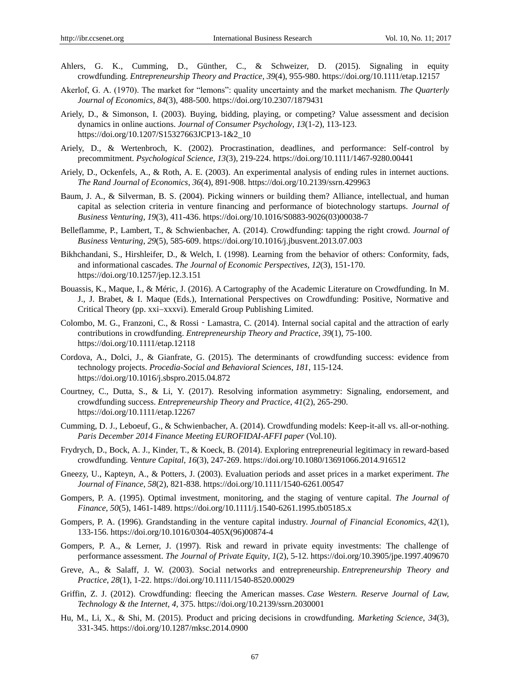- Ahlers, G. K., Cumming, D., Günther, C., & Schweizer, D. (2015). Signaling in equity crowdfunding. *Entrepreneurship Theory and Practice*, *39*(4), 955-980. https://doi.org/10.1111/etap.12157
- Akerlof, G. A. (1970). The market for "lemons": quality uncertainty and the market mechanism. *The Quarterly Journal of Economics*, *84*(3), 488-500. https://doi.org/10.2307/1879431
- Ariely, D., & Simonson, I. (2003). Buying, bidding, playing, or competing? Value assessment and decision dynamics in online auctions. *Journal of Consumer Psychology*, *13*(1-2), 113-123. https://doi.org/10.1207/S15327663JCP13-1&2\_10
- Ariely, D., & Wertenbroch, K. (2002). Procrastination, deadlines, and performance: Self-control by precommitment. *Psychological Science*, *13*(3), 219-224. https://doi.org/10.1111/1467-9280.00441
- Ariely, D., Ockenfels, A., & Roth, A. E. (2003). An experimental analysis of ending rules in internet auctions. *The Rand Journal of Economics*, *36*(4), 891-908. https://doi.org/10.2139/ssrn.429963
- Baum, J. A., & Silverman, B. S. (2004). Picking winners or building them? Alliance, intellectual, and human capital as selection criteria in venture financing and performance of biotechnology startups. *Journal of Business Venturing*, *19*(3), 411-436. https://doi.org/10.1016/S0883-9026(03)00038-7
- Belleflamme, P., Lambert, T., & Schwienbacher, A. (2014). Crowdfunding: tapping the right crowd*. Journal of Business Venturing*, *29*(5), 585-609. https://doi.org/10.1016/j.jbusvent.2013.07.003
- Bikhchandani, S., Hirshleifer, D., & Welch, I. (1998). Learning from the behavior of others: Conformity, fads, and informational cascades. *The Journal of Economic Perspectives*, *12*(3), 151-170. https://doi.org/10.1257/jep.12.3.151
- Bouassis, K., Maque, I., & Méric, J. (2016). A Cartography of the Academic Literature on Crowdfunding. In M. J., J. Brabet, & I. Maque (Eds.), International Perspectives on Crowdfunding: Positive, Normative and Critical Theory (pp. xxi-xxxvi). Emerald Group Publishing Limited.
- Colombo, M. G., Franzoni, C., & Rossi‐Lamastra, C. (2014). Internal social capital and the attraction of early contributions in crowdfunding. *Entrepreneurship Theory and Practice*, *39*(1), 75-100. https://doi.org/10.1111/etap.12118
- Cordova, A., Dolci, J., & Gianfrate, G. (2015). The determinants of crowdfunding success: evidence from technology projects. *Procedia-Social and Behavioral Sciences*, *181*, 115-124. https://doi.org/10.1016/j.sbspro.2015.04.872
- Courtney, C., Dutta, S., & Li, Y. (2017). Resolving information asymmetry: Signaling, endorsement, and crowdfunding success. *Entrepreneurship Theory and Practice*, *41*(2), 265-290. https://doi.org/10.1111/etap.12267
- Cumming, D. J., Leboeuf, G., & Schwienbacher, A. (2014). Crowdfunding models: Keep-it-all vs. all-or-nothing. Paris December 2014 Finance Meeting EUROFIDAI-AFFI paper (Vol.10).
- Frydrych, D., Bock, A. J., Kinder, T., & Koeck, B. (2014). Exploring entrepreneurial legitimacy in reward-based crowdfunding. *Venture Capital*, *16*(3), 247-269. https://doi.org/10.1080/13691066.2014.916512
- Gneezy, U., Kapteyn, A., & Potters, J. (2003). Evaluation periods and asset prices in a market experiment. *The Journal of Finance*, *58*(2), 821-838. https://doi.org/10.1111/1540-6261.00547
- Gompers, P. A. (1995). Optimal investment, monitoring, and the staging of venture capital. *The Journal of Finance*, *50*(5), 1461-1489. https://doi.org/10.1111/j.1540-6261.1995.tb05185.x
- Gompers, P. A. (1996). Grandstanding in the venture capital industry. *Journal of Financial Economics*, *42*(1), 133-156. https://doi.org/10.1016/0304-405X(96)00874-4
- Gompers, P. A., & Lerner, J. (1997). Risk and reward in private equity investments: The challenge of performance assessment. *The Journal of Private Equity*, *1*(2), 5-12. https://doi.org/10.3905/jpe.1997.409670
- Greve, A., & Salaff, J. W. (2003). Social networks and entrepreneurship. *Entrepreneurship Theory and Practice*, *28*(1), 1-22. https://doi.org/10.1111/1540-8520.00029
- Griffin, Z. J. (2012). Crowdfunding: fleecing the American masses. *Case Western. Reserve Journal of Law, Technology & the Internet, 4,* 375. https://doi.org/10.2139/ssrn.2030001
- Hu, M., Li, X., & Shi, M. (2015). Product and pricing decisions in crowdfunding. *Marketing Science*, *34*(3), 331-345. https://doi.org/10.1287/mksc.2014.0900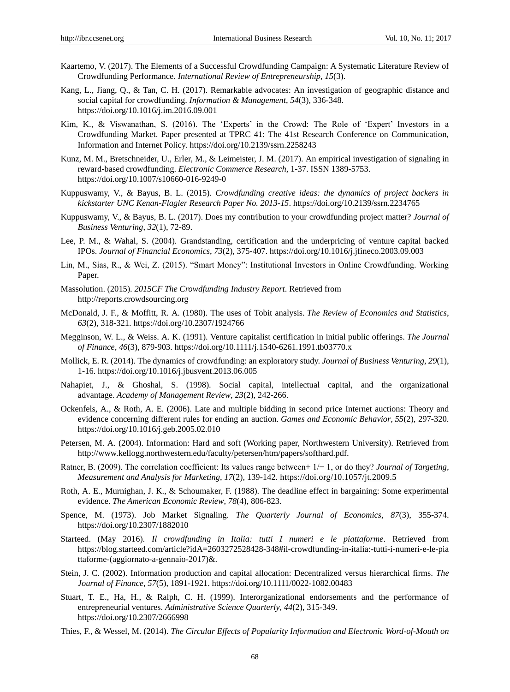- Kaartemo, V. (2017). The Elements of a Successful Crowdfunding Campaign: A Systematic Literature Review of Crowdfunding Performance. *International Review of Entrepreneurship, 15*(3).
- Kang, L., Jiang, Q., & Tan, C. H. (2017). Remarkable advocates: An investigation of geographic distance and social capital for crowdfunding. *Information & Management*, *54*(3), 336-348. https://doi.org/10.1016/j.im.2016.09.001
- Kim, K., & Viswanathan, S. (2016). The 'Experts' in the Crowd: The Role of 'Expert' Investors in a Crowdfunding Market. Paper presented at TPRC 41: The 41st Research Conference on Communication, Information and Internet Policy. https://doi.org/10.2139/ssrn.2258243
- Kunz, M. M., Bretschneider, U., Erler, M., & Leimeister, J. M. (2017). An empirical investigation of signaling in reward-based crowdfunding. *Electronic Commerce Research*, 1-37. ISSN 1389-5753. https://doi.org/10.1007/s10660-016-9249-0
- Kuppuswamy, V., & Bayus, B. L. (2015). *Crowdfunding creative ideas: the dynamics of project backers in kickstarter UNC Kenan-Flagler Research Paper No. 2013-15*. https://doi.org/10.2139/ssrn.2234765
- Kuppuswamy, V., & Bayus, B. L. (2017). Does my contribution to your crowdfunding project matter? *Journal of Business Venturing*, *32*(1), 72-89.
- Lee, P. M., & Wahal, S. (2004). Grandstanding, certification and the underpricing of venture capital backed IPOs. *Journal of Financial Economics*, *73*(2), 375-407. https://doi.org/10.1016/j.jfineco.2003.09.003
- Lin, M., Sias, R., & Wei, Z. (2015). "Smart Money": Institutional Investors in Online Crowdfunding. Working Paper.
- Massolution. (2015). *2015CF The Crowdfunding Industry Report*. Retrieved from [http://reports.crowdsourcing.org](http://reports.crowdsourcing.org/)
- McDonald, J. F., & Moffitt, R. A. (1980). The uses of Tobit analysis. *The Review of Economics and Statistics*, *63*(2), 318-321. https://doi.org/10.2307/1924766
- Megginson, W. L., & Weiss. A. K. (1991). Venture capitalist certification in initial public offerings. *The Journal of Finance*, *46*(3), 879-903. https://doi.org/10.1111/j.1540-6261.1991.tb03770.x
- Mollick, E. R. (2014). The dynamics of crowdfunding: an exploratory study. *Journal of Business Venturing*, *29*(1), 1-16. https://doi.org/10.1016/j.jbusvent.2013.06.005
- Nahapiet, J., & Ghoshal, S. (1998). Social capital, intellectual capital, and the organizational advantage. *Academy of Management Review*, *23*(2), 242-266.
- Ockenfels, A., & Roth, A. E. (2006). Late and multiple bidding in second price Internet auctions: Theory and evidence concerning different rules for ending an auction. *Games and Economic Behavior*, *55*(2), 297-320. https://doi.org/10.1016/j.geb.2005.02.010
- Petersen, M. A. (2004). Information: Hard and soft (Working paper, Northwestern University). Retrieved from http://www.kellogg.northwestern.edu/faculty/petersen/htm/papers/softhard.pdf.
- Ratner, B. (2009). The correlation coefficient: Its values range between+ 1/− 1, or do they? *Journal of Targeting, Measurement and Analysis for Marketing*, *17*(2), 139-142. https://doi.org/10.1057/jt.2009.5
- Roth, A. E., Murnighan, J. K., & Schoumaker, F. (1988). The deadline effect in bargaining: Some experimental evidence. *The American Economic Review*, *78*(4), 806-823.
- Spence, M. (1973). Job Market Signaling. *The Quarterly Journal of Economics*, *87*(3), 355-374. https://doi.org/10.2307/1882010
- Starteed. (May 2016). *Il crowdfunding in Italia: tutti I numeri e le piattaforme*. Retrieved from [https://blog.starteed.com/article?idA=2603272528428-348#il-crowdfunding-in-italia:-tutti-i-numeri-e-le-pia](https://blog.starteed.com/article?idA=2603272528428-348#il-crowdfunding-in-italia:-tutti-i-numeri-e-le-piattaforme-(aggiornato-a-gennaio-2017)&) [ttaforme-\(aggiornato-a-gennaio-2017\)&.](https://blog.starteed.com/article?idA=2603272528428-348#il-crowdfunding-in-italia:-tutti-i-numeri-e-le-piattaforme-(aggiornato-a-gennaio-2017)&)
- Stein, J. C. (2002). Information production and capital allocation: Decentralized versus hierarchical firms. *The Journal of Finance*, *57*(5), 1891-1921. https://doi.org/10.1111/0022-1082.00483
- Stuart, T. E., Ha, H., & Ralph, C. H. (1999). Interorganizational endorsements and the performance of entrepreneurial ventures. *Administrative Science Quarterly*, *44*(2), 315-349. https://doi.org/10.2307/2666998
- Thies, F., & Wessel, M. (2014). *The Circular Effects of Popularity Information and Electronic Word-of-Mouth on*